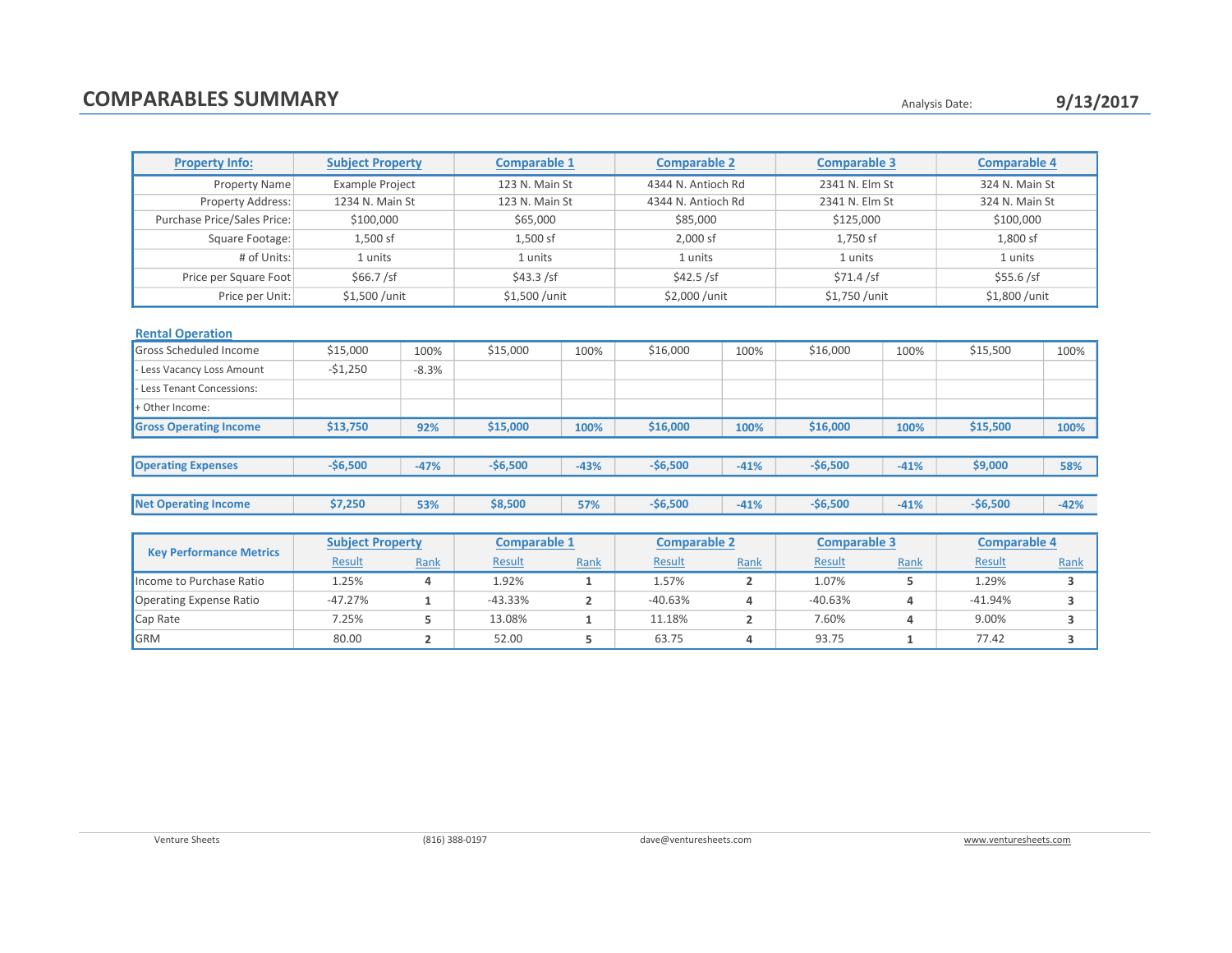## COMPARABLES SUMMARY **COMPARABLES** SUMMARY

| <b>Property Info:</b>         | <b>Subject Property</b> |         | <b>Comparable 1</b> |        | <b>Comparable 2</b> |        | <b>Comparable 3</b> |        | <b>Comparable 4</b> |        |
|-------------------------------|-------------------------|---------|---------------------|--------|---------------------|--------|---------------------|--------|---------------------|--------|
| Property Name                 | Example Project         |         | 123 N. Main St      |        | 4344 N. Antioch Rd  |        | 2341 N. Elm St      |        | 324 N. Main St      |        |
| Property Address:             | 1234 N. Main St         |         | 123 N. Main St      |        | 4344 N. Antioch Rd  |        | 2341 N. Elm St      |        | 324 N. Main St      |        |
| Purchase Price/Sales Price:   | \$100,000               |         | \$65,000            |        | \$85,000            |        | \$125,000           |        | \$100,000           |        |
| Square Footage:               | 1,500 sf                |         | $1,500$ sf          |        | 2,000 sf            |        | 1,750 sf            |        | 1,800 sf            |        |
| # of Units:                   | 1 units                 |         | 1 units             |        | 1 units             |        | 1 units             |        | 1 units             |        |
| Price per Square Foot         | \$66.7 / sf             |         | \$43.3 / sf         |        | \$42.5 / sf         |        | \$71.4 / sf         |        | \$55.6 / sf         |        |
| Price per Unit:               | \$1,500 / unit          |         | \$1,500 / unit      |        | \$2,000 / unit      |        | \$1,750 /unit       |        | \$1,800 / unit      |        |
| <b>Rental Operation</b>       |                         |         |                     |        |                     |        |                     |        |                     |        |
| Gross Scheduled Income        | \$15,000                | 100%    | \$15,000            | 100%   | \$16,000            | 100%   | \$16,000            | 100%   | \$15,500            | 100%   |
| Less Vacancy Loss Amount      | $-51,250$               | $-8.3%$ |                     |        |                     |        |                     |        |                     |        |
| Less Tenant Concessions:      |                         |         |                     |        |                     |        |                     |        |                     |        |
| + Other Income:               |                         |         |                     |        |                     |        |                     |        |                     |        |
| <b>Gross Operating Income</b> | \$13,750                | 92%     | \$15,000            | 100%   | \$16,000            | 100%   | \$16,000            | 100%   | \$15,500            | 100%   |
|                               |                         |         |                     |        |                     |        |                     |        |                     |        |
| <b>Operating Expenses</b>     | $-$6,500$               | $-47%$  | $-$6,500$           | $-43%$ | $-56,500$           | $-41%$ | $-$6,500$           | $-41%$ | \$9,000             | 58%    |
|                               |                         |         |                     |        |                     |        |                     |        |                     |        |
| <b>Net Operating Income</b>   | \$7,250                 | 53%     | \$8,500             | 57%    | $-56,500$           | $-41%$ | $-$6,500$           | $-41%$ | $-56,500$           | $-42%$ |

| <b>Key Performance Metrics</b> | <b>Subject Property</b> |      | <b>Comparable 1</b> |      | <b>Comparable 2</b> |      | <b>Comparable 3</b> |      | <b>Comparable 4</b> |      |
|--------------------------------|-------------------------|------|---------------------|------|---------------------|------|---------------------|------|---------------------|------|
|                                | Result                  | Rank | <b>Result</b>       | Rank | <b>Result</b>       | Rank | <b>Result</b>       | Rank | Result              | Rank |
| Income to Purchase Ratio       | 1.25%                   |      | 1.92%               |      | 1.57%               |      | 1.07%               |      | 1.29%               |      |
| Operating Expense Ratio        | $-47.27%$               |      | $-43.33%$           |      | $-40.63%$           |      | $-40.63%$           |      | $-41.94%$           |      |
| Cap Rate                       | 7.25%                   |      | 13.08%              |      | 11.18%              |      | 7.60%               |      | 9.00%               |      |
| GRM                            | 80.00                   |      | 52.00               |      | 63.75               |      | 93.75               |      | 77.42               |      |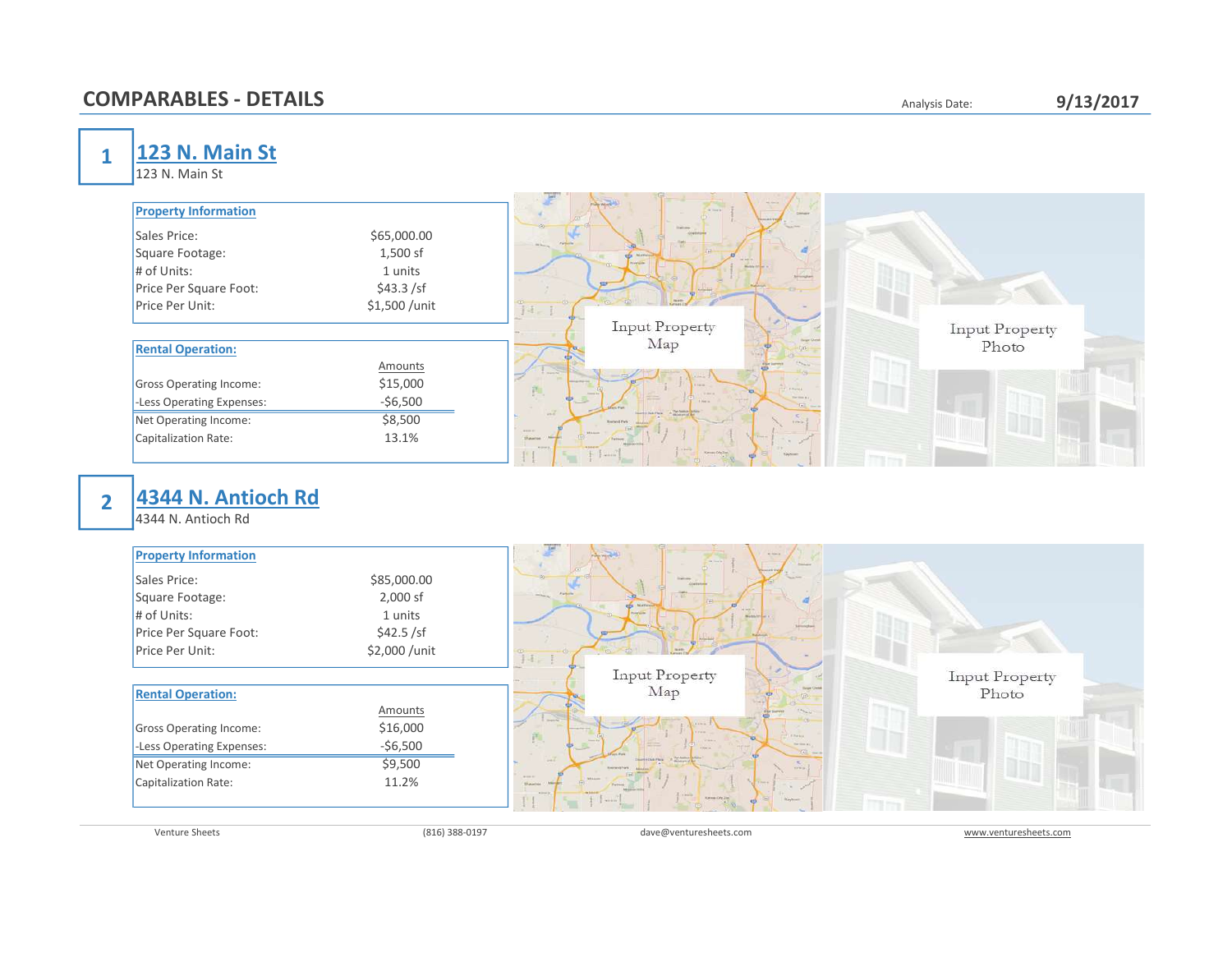### COMPARABLES - DETAILS **Analysis Date:** 9/13/2017

|  | Analysis Date: |
|--|----------------|
|  |                |

1 23 N. Main St

123 N. Main St

| <b>Property Information</b>    |                | <b>Chairman</b><br>at him a<br>or tools.<br>Column                   |                       |
|--------------------------------|----------------|----------------------------------------------------------------------|-----------------------|
| Sales Price:                   | \$65,000.00    | <b>Distriction</b><br>Flemels                                        |                       |
| Square Footage:                | 1,500 sf       | <b>RES</b> Matters<br>or sex is                                      |                       |
| $#$ of Units:                  | 1 units        | <b>Movement</b><br><b>Works of Car</b><br><b>Brington</b>            |                       |
| Price Per Square Foot:         | \$43.3 / sf    |                                                                      |                       |
| Price Per Unit:                | \$1,500 /unit  | $14 - 1$                                                             |                       |
|                                |                | <b>Input Property</b>                                                | <b>Input Property</b> |
| <b>Rental Operation:</b>       |                | Map                                                                  | Photo                 |
|                                | <b>Amounts</b> |                                                                      |                       |
| <b>Gross Operating Income:</b> | \$15,000       | Farm.<br>西<br>FRWHA                                                  |                       |
| -Less Operating Expenses:      | $-56,500$      | <b>Village</b><br><b>The time at a</b><br>$\sqrt{2}$<br><b>The A</b> |                       |
| Net Operating Income:          | \$8,500        | Deserted the Party of Section of B<br>$-7$                           |                       |
| Capitalization Rate:           | 13.1%          | <b>ARREST</b><br>Shawnee<br>T. Boston                                |                       |
|                                |                | <b>Chicago</b><br>Kennes Oly 2nd<br><b>Raylowin</b><br>T within      |                       |

## 2

# 4344 N. Antioch Rd

4344 N. Antioch Rd

| <b>Property Information</b>    |               | <b>ALCOHOL</b><br><b>Chainman</b><br>the film and in-                                      |                       |
|--------------------------------|---------------|--------------------------------------------------------------------------------------------|-----------------------|
| Sales Price:                   | \$85,000.00   | <b>Telecometer</b> ST<br><b>Distriction</b>                                                |                       |
| Square Footage:                | 2,000 sf      | <b>Parkets</b><br>of the party                                                             |                       |
| # of Units:                    | 1 units       | of selection.<br>Monthly Att Care or                                                       |                       |
| Price Per Square Foot:         | \$42.5 / sf   | Seventhan                                                                                  |                       |
| Price Per Unit:                | \$2,000 /unit | $14 - 1$                                                                                   |                       |
|                                |               | <b>Input Property</b>                                                                      | <b>Input Property</b> |
| <b>Rental Operation:</b>       |               | Map                                                                                        | Photo                 |
|                                | Amounts       |                                                                                            |                       |
| <b>Gross Operating Income:</b> | \$16,000      | Farm.<br>西<br><b>Fillmake</b>                                                              |                       |
| -Less Operating Expenses:      | $-56,500$     | <b>COLLA</b><br>The time at a<br>Tel: mean                                                 |                       |
| Net Operating Income:          | \$9,500       | $-7$<br><b>Scott &amp; Club Photo</b><br>Ministers of<br><b>Keyned Park</b><br><b>TEMP</b> |                       |
| Capitalization Rate:           | 11.2%         | <b>SHOP</b><br>Shawnee                                                                     |                       |
|                                |               | Writing In<br><b>Collection</b><br>Kimies Oly 2nd<br><b>Bayboard</b><br>E within           |                       |

Venture Sheets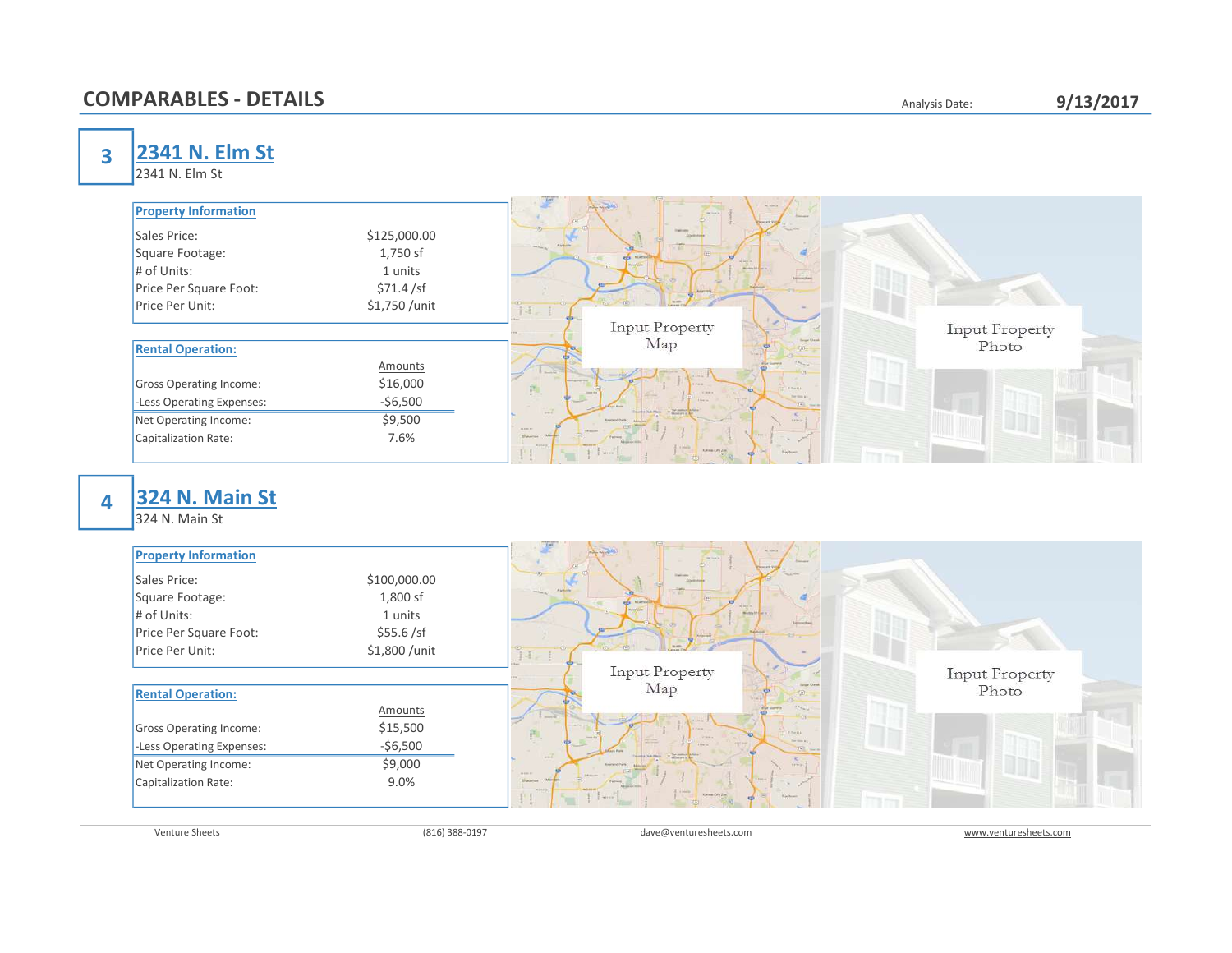### **COMPARABLES - DETAILS**

| Analysis Date: |  |
|----------------|--|
|----------------|--|

#### 9/13/2017

3

2341 N. Elm St

2341 N. Elm St

| <b>Property Information</b>    |                | <b>Comment</b><br><b>ALCOHOL:</b><br>the film of the<br>Column            |                |
|--------------------------------|----------------|---------------------------------------------------------------------------|----------------|
| Sales Price:                   | \$125,000.00   | <b>Digital</b>                                                            |                |
| Square Footage:                | 1,750 sf       | <b>Northele</b><br>ets:<br>of selling                                     |                |
| $#$ of Units:                  | 1 units        | <b><i><u>Signal Grand</u></i></b><br>Michigan Ad Court<br>الركيل          |                |
| Price Per Square Foot:         | \$71.4 / sf    | <b>Circ</b>                                                               |                |
| Price Per Unit:                | \$1,750 /unit  | $14 - 1$                                                                  |                |
|                                |                | Input Property                                                            | Input Property |
| <b>Rental Operation:</b>       |                | Map                                                                       | Photo          |
|                                | <b>Amounts</b> |                                                                           |                |
| <b>Gross Operating Income:</b> | \$16,000       | Farmer.<br><b>Fillmake</b><br>即.                                          |                |
| -Less Operating Expenses:      | $-$6,500$      | <b>The Great Ave</b><br>THE SALE<br><b>The family</b><br>Dearby Due Plaza |                |
| Net Operating Income:          | \$9,500        | $-0.6$<br><b>Kenned Park</b><br><b>Carmina</b><br><b>ACCEPT</b>           |                |
| Capitalization Rate:           | 7.6%           | Shawnee<br><b>William</b>                                                 |                |
|                                |                | <b>A Britain</b><br>Kansas City Zim<br><b>Rayhound</b><br>pressure.       |                |

4

# 324 N. Main St

324 N. Main St

| <b>Property Information</b>    |               | <b>Chairman</b><br><b>ALCOHOL:</b><br>the film and the 1<br>Contactor<br><b>STATISTICS</b> |                       |
|--------------------------------|---------------|--------------------------------------------------------------------------------------------|-----------------------|
| Sales Price:                   | \$100,000.00  | <b>Distriction</b>                                                                         |                       |
| Square Footage:                | 1,800 sf      | <b>College Inc.</b><br><b>CO MATION</b><br>of sex in                                       |                       |
| $#$ of Units:                  | 1 units       | <b>Kristolom</b><br>Michigan Ad Court of<br>J.                                             |                       |
| Price Per Square Foot:         | \$55.6 / sf   | <b>13m</b>                                                                                 |                       |
| Price Per Unit:                | \$1,800 /unit | $14 - 1$                                                                                   |                       |
|                                |               | <b>Input Property</b>                                                                      | <b>Input Property</b> |
| <b>Rental Operation:</b>       |               | Map                                                                                        | Photo                 |
|                                | Amounts       | <b>County</b>                                                                              |                       |
| <b>Gross Operating Income:</b> | \$15,500      | Ferra.<br>門.<br><b>Fillmake</b><br><b>Village</b>                                          |                       |
| -Less Operating Expenses:      | $-56,500$     | The time at a<br>Tel: max<br>$-2$<br><b>The family</b><br>Dearby DearPain                  |                       |
| Net Operating Income:          | \$9,000       | <b>Exercise of Practs</b><br>timia.<br><b>MARKET</b>                                       |                       |
| Capitalization Rate:           | 9.0%          | Shawroo<br><b>Don't</b><br><b>William</b><br><b>CONTRACTOR</b>                             |                       |
|                                |               | Kimmas City 2nd<br><b>Distribution</b><br>P winner.                                        |                       |

Venture Sheets